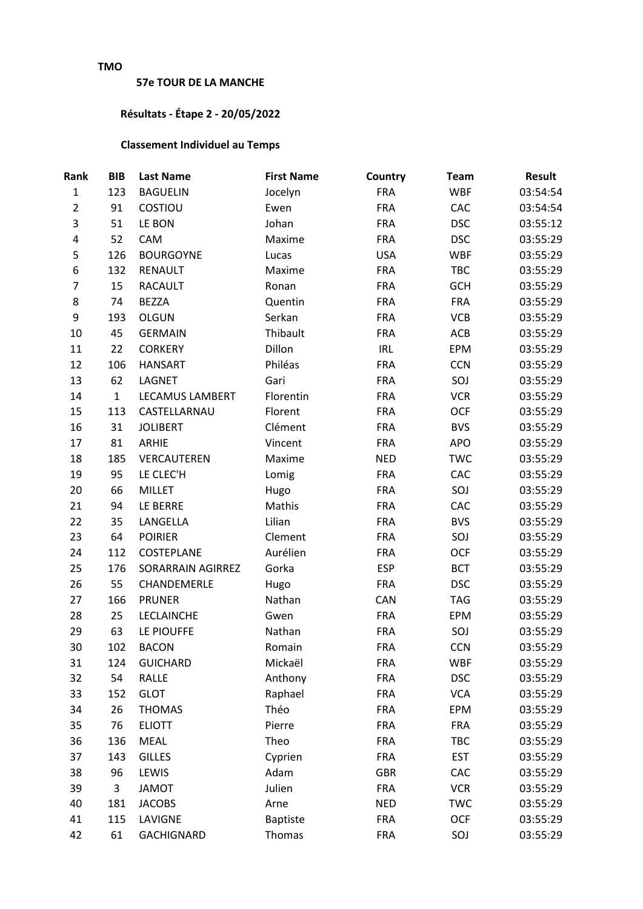## **TMO**

## **57e TOUR DE LA MANCHE**

## **Résultats - Étape 2 - 20/05/2022**

## **Classement Individuel au Temps**

| Rank           | <b>BIB</b>   | <b>Last Name</b>       | <b>First Name</b> | <b>Country</b> | <b>Team</b> | <b>Result</b> |
|----------------|--------------|------------------------|-------------------|----------------|-------------|---------------|
| $\mathbf{1}$   | 123          | <b>BAGUELIN</b>        | Jocelyn           | <b>FRA</b>     | <b>WBF</b>  | 03:54:54      |
| $\overline{2}$ | 91           | COSTIOU                | Ewen              | <b>FRA</b>     | CAC         | 03:54:54      |
| 3              | 51           | LE BON                 | Johan             | <b>FRA</b>     | <b>DSC</b>  | 03:55:12      |
| 4              | 52           | CAM                    | Maxime            | <b>FRA</b>     | <b>DSC</b>  | 03:55:29      |
| 5              | 126          | <b>BOURGOYNE</b>       | Lucas             | <b>USA</b>     | <b>WBF</b>  | 03:55:29      |
| 6              | 132          | <b>RENAULT</b>         | Maxime            | <b>FRA</b>     | TBC         | 03:55:29      |
| $\overline{7}$ | 15           | <b>RACAULT</b>         | Ronan             | <b>FRA</b>     | <b>GCH</b>  | 03:55:29      |
| 8              | 74           | <b>BEZZA</b>           | Quentin           | <b>FRA</b>     | <b>FRA</b>  | 03:55:29      |
| 9              | 193          | <b>OLGUN</b>           | Serkan            | <b>FRA</b>     | <b>VCB</b>  | 03:55:29      |
| 10             | 45           | <b>GERMAIN</b>         | Thibault          | <b>FRA</b>     | ACB         | 03:55:29      |
| 11             | 22           | <b>CORKERY</b>         | Dillon            | <b>IRL</b>     | EPM         | 03:55:29      |
| 12             | 106          | <b>HANSART</b>         | Philéas           | <b>FRA</b>     | <b>CCN</b>  | 03:55:29      |
| 13             | 62           | LAGNET                 | Gari              | <b>FRA</b>     | SOJ         | 03:55:29      |
| 14             | $\mathbf{1}$ | <b>LECAMUS LAMBERT</b> | Florentin         | <b>FRA</b>     | <b>VCR</b>  | 03:55:29      |
| 15             | 113          | CASTELLARNAU           | Florent           | <b>FRA</b>     | <b>OCF</b>  | 03:55:29      |
| 16             | 31           | <b>JOLIBERT</b>        | Clément           | <b>FRA</b>     | <b>BVS</b>  | 03:55:29      |
| 17             | 81           | ARHIE                  | Vincent           | <b>FRA</b>     | <b>APO</b>  | 03:55:29      |
| 18             | 185          | VERCAUTEREN            | Maxime            | <b>NED</b>     | <b>TWC</b>  | 03:55:29      |
| 19             | 95           | LE CLEC'H              | Lomig             | <b>FRA</b>     | CAC         | 03:55:29      |
| 20             | 66           | <b>MILLET</b>          | Hugo              | <b>FRA</b>     | SOJ         | 03:55:29      |
| 21             | 94           | LE BERRE               | Mathis            | <b>FRA</b>     | CAC         | 03:55:29      |
| 22             | 35           | LANGELLA               | Lilian            | <b>FRA</b>     | <b>BVS</b>  | 03:55:29      |
| 23             | 64           | <b>POIRIER</b>         | Clement           | <b>FRA</b>     | SOJ         | 03:55:29      |
| 24             | 112          | COSTEPLANE             | Aurélien          | <b>FRA</b>     | <b>OCF</b>  | 03:55:29      |
| 25             | 176          | SORARRAIN AGIRREZ      | Gorka             | <b>ESP</b>     | <b>BCT</b>  | 03:55:29      |
| 26             | 55           | CHANDEMERLE            | Hugo              | <b>FRA</b>     | <b>DSC</b>  | 03:55:29      |
| 27             | 166          | <b>PRUNER</b>          | Nathan            | CAN            | <b>TAG</b>  | 03:55:29      |
| 28             | 25           | <b>LECLAINCHE</b>      | Gwen              | <b>FRA</b>     | EPM         | 03:55:29      |
| 29             | 63           | LE PIOUFFE             | Nathan            | <b>FRA</b>     | SOJ         | 03:55:29      |
| 30             | 102          | <b>BACON</b>           | Romain            | <b>FRA</b>     | <b>CCN</b>  | 03:55:29      |
| 31             | 124          | <b>GUICHARD</b>        | Mickaël           | <b>FRA</b>     | <b>WBF</b>  | 03:55:29      |
| 32             | 54           | RALLE                  | Anthony           | <b>FRA</b>     | <b>DSC</b>  | 03:55:29      |
| 33             | 152          | <b>GLOT</b>            | Raphael           | <b>FRA</b>     | <b>VCA</b>  | 03:55:29      |
| 34             | 26           | <b>THOMAS</b>          | Théo              | <b>FRA</b>     | <b>EPM</b>  | 03:55:29      |
| 35             | 76           | <b>ELIOTT</b>          | Pierre            | <b>FRA</b>     | <b>FRA</b>  | 03:55:29      |
| 36             | 136          | <b>MEAL</b>            | Theo              | <b>FRA</b>     | TBC         | 03:55:29      |
| 37             | 143          | <b>GILLES</b>          | Cyprien           | <b>FRA</b>     | <b>EST</b>  | 03:55:29      |
| 38             | 96           | LEWIS                  | Adam              | GBR            | CAC         | 03:55:29      |
| 39             | 3            | <b>JAMOT</b>           | Julien            | <b>FRA</b>     | <b>VCR</b>  | 03:55:29      |
| 40             | 181          | <b>JACOBS</b>          | Arne              | <b>NED</b>     | <b>TWC</b>  | 03:55:29      |
| 41             | 115          | LAVIGNE                | <b>Baptiste</b>   | <b>FRA</b>     | <b>OCF</b>  | 03:55:29      |
| 42             | 61           | GACHIGNARD             | Thomas            | <b>FRA</b>     | SOJ         | 03:55:29      |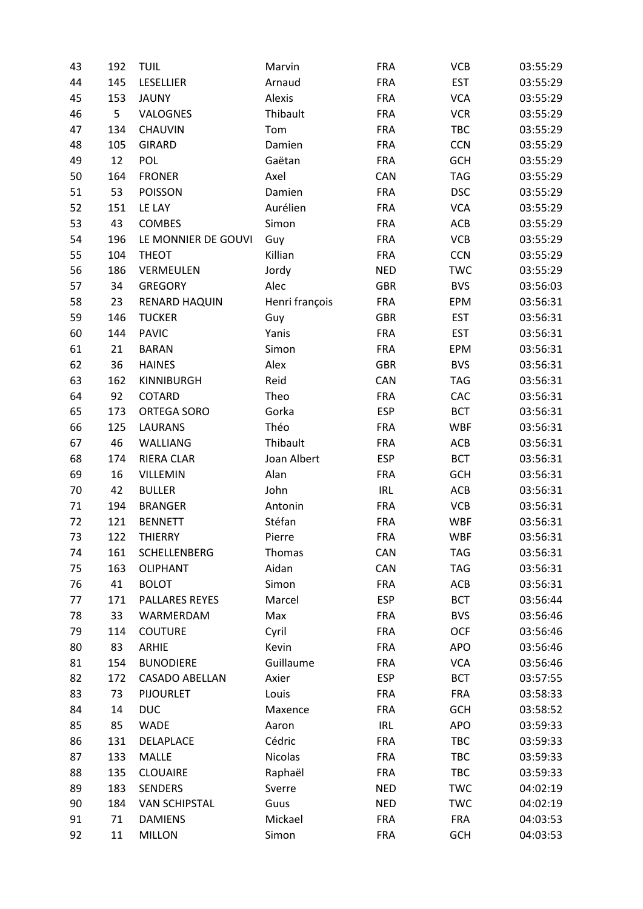| 43 | 192 | <b>TUIL</b>           | Marvin         | <b>FRA</b> | <b>VCB</b> | 03:55:29 |
|----|-----|-----------------------|----------------|------------|------------|----------|
| 44 | 145 | <b>LESELLIER</b>      | Arnaud         | <b>FRA</b> | <b>EST</b> | 03:55:29 |
| 45 | 153 | <b>JAUNY</b>          | Alexis         | <b>FRA</b> | <b>VCA</b> | 03:55:29 |
| 46 | 5   | VALOGNES              | Thibault       | <b>FRA</b> | <b>VCR</b> | 03:55:29 |
| 47 | 134 | <b>CHAUVIN</b>        | Tom            | <b>FRA</b> | TBC        | 03:55:29 |
| 48 | 105 | <b>GIRARD</b>         | Damien         | <b>FRA</b> | <b>CCN</b> | 03:55:29 |
| 49 | 12  | <b>POL</b>            | Gaëtan         | <b>FRA</b> | <b>GCH</b> | 03:55:29 |
| 50 | 164 | <b>FRONER</b>         | Axel           | <b>CAN</b> | <b>TAG</b> | 03:55:29 |
| 51 | 53  | <b>POISSON</b>        | Damien         | <b>FRA</b> | <b>DSC</b> | 03:55:29 |
| 52 | 151 | LE LAY                | Aurélien       | <b>FRA</b> | <b>VCA</b> | 03:55:29 |
| 53 | 43  | COMBES                | Simon          | <b>FRA</b> | ACB        | 03:55:29 |
| 54 | 196 | LE MONNIER DE GOUVI   | Guy            | <b>FRA</b> | <b>VCB</b> | 03:55:29 |
| 55 | 104 | <b>THEOT</b>          | Killian        | <b>FRA</b> | <b>CCN</b> | 03:55:29 |
| 56 | 186 | VERMEULEN             | Jordy          | <b>NED</b> | <b>TWC</b> | 03:55:29 |
| 57 | 34  | <b>GREGORY</b>        | Alec           | <b>GBR</b> | <b>BVS</b> | 03:56:03 |
| 58 | 23  | RENARD HAQUIN         | Henri françois | <b>FRA</b> | EPM        | 03:56:31 |
| 59 | 146 | <b>TUCKER</b>         | Guy            | <b>GBR</b> | <b>EST</b> | 03:56:31 |
| 60 | 144 | <b>PAVIC</b>          | Yanis          | <b>FRA</b> | <b>EST</b> | 03:56:31 |
| 61 | 21  | <b>BARAN</b>          | Simon          | <b>FRA</b> | EPM        | 03:56:31 |
| 62 | 36  | <b>HAINES</b>         | Alex           | <b>GBR</b> | <b>BVS</b> | 03:56:31 |
| 63 | 162 | KINNIBURGH            | Reid           | CAN        | <b>TAG</b> | 03:56:31 |
| 64 | 92  | COTARD                | Theo           | <b>FRA</b> | CAC        | 03:56:31 |
| 65 | 173 | ORTEGA SORO           | Gorka          | <b>ESP</b> | <b>BCT</b> | 03:56:31 |
| 66 | 125 | <b>LAURANS</b>        | Théo           | <b>FRA</b> | <b>WBF</b> | 03:56:31 |
| 67 | 46  | <b>WALLIANG</b>       | Thibault       | <b>FRA</b> | ACB        | 03:56:31 |
| 68 | 174 | RIERA CLAR            | Joan Albert    | <b>ESP</b> | <b>BCT</b> | 03:56:31 |
| 69 | 16  | VILLEMIN              | Alan           | <b>FRA</b> | <b>GCH</b> | 03:56:31 |
| 70 | 42  | <b>BULLER</b>         | John           | <b>IRL</b> | ACB        | 03:56:31 |
| 71 | 194 | <b>BRANGER</b>        | Antonin        | <b>FRA</b> | <b>VCB</b> | 03:56:31 |
| 72 | 121 | <b>BENNETT</b>        | Stéfan         | <b>FRA</b> | <b>WBF</b> | 03:56:31 |
| 73 | 122 | <b>THIERRY</b>        | Pierre         | <b>FRA</b> | <b>WBF</b> | 03:56:31 |
| 74 | 161 | SCHELLENBERG          | Thomas         | CAN        | <b>TAG</b> | 03:56:31 |
| 75 | 163 | <b>OLIPHANT</b>       | Aidan          | CAN        | <b>TAG</b> | 03:56:31 |
| 76 | 41  | <b>BOLOT</b>          | Simon          | <b>FRA</b> | ACB        | 03:56:31 |
| 77 | 171 | PALLARES REYES        | Marcel         | <b>ESP</b> | <b>BCT</b> | 03:56:44 |
| 78 | 33  | WARMERDAM             | Max            | <b>FRA</b> | <b>BVS</b> | 03:56:46 |
| 79 | 114 | <b>COUTURE</b>        | Cyril          | <b>FRA</b> | <b>OCF</b> | 03:56:46 |
| 80 | 83  | <b>ARHIE</b>          | Kevin          | <b>FRA</b> | <b>APO</b> | 03:56:46 |
| 81 | 154 | <b>BUNODIERE</b>      | Guillaume      | <b>FRA</b> | <b>VCA</b> | 03:56:46 |
| 82 | 172 | <b>CASADO ABELLAN</b> | Axier          | <b>ESP</b> | <b>BCT</b> | 03:57:55 |
| 83 | 73  | <b>PIJOURLET</b>      | Louis          | <b>FRA</b> | <b>FRA</b> | 03:58:33 |
| 84 | 14  | <b>DUC</b>            | Maxence        | <b>FRA</b> | <b>GCH</b> | 03:58:52 |
| 85 | 85  | WADE                  | Aaron          | <b>IRL</b> | <b>APO</b> | 03:59:33 |
| 86 | 131 | DELAPLACE             | Cédric         | <b>FRA</b> | TBC        | 03:59:33 |
| 87 | 133 | <b>MALLE</b>          | <b>Nicolas</b> | <b>FRA</b> | TBC        | 03:59:33 |
| 88 | 135 | <b>CLOUAIRE</b>       | Raphaël        | <b>FRA</b> | TBC        | 03:59:33 |
| 89 | 183 | <b>SENDERS</b>        | Sverre         | <b>NED</b> | <b>TWC</b> | 04:02:19 |
| 90 | 184 | <b>VAN SCHIPSTAL</b>  | Guus           | <b>NED</b> | <b>TWC</b> | 04:02:19 |
| 91 | 71  | <b>DAMIENS</b>        | Mickael        | <b>FRA</b> | <b>FRA</b> | 04:03:53 |
| 92 | 11  | <b>MILLON</b>         | Simon          | <b>FRA</b> | <b>GCH</b> | 04:03:53 |
|    |     |                       |                |            |            |          |